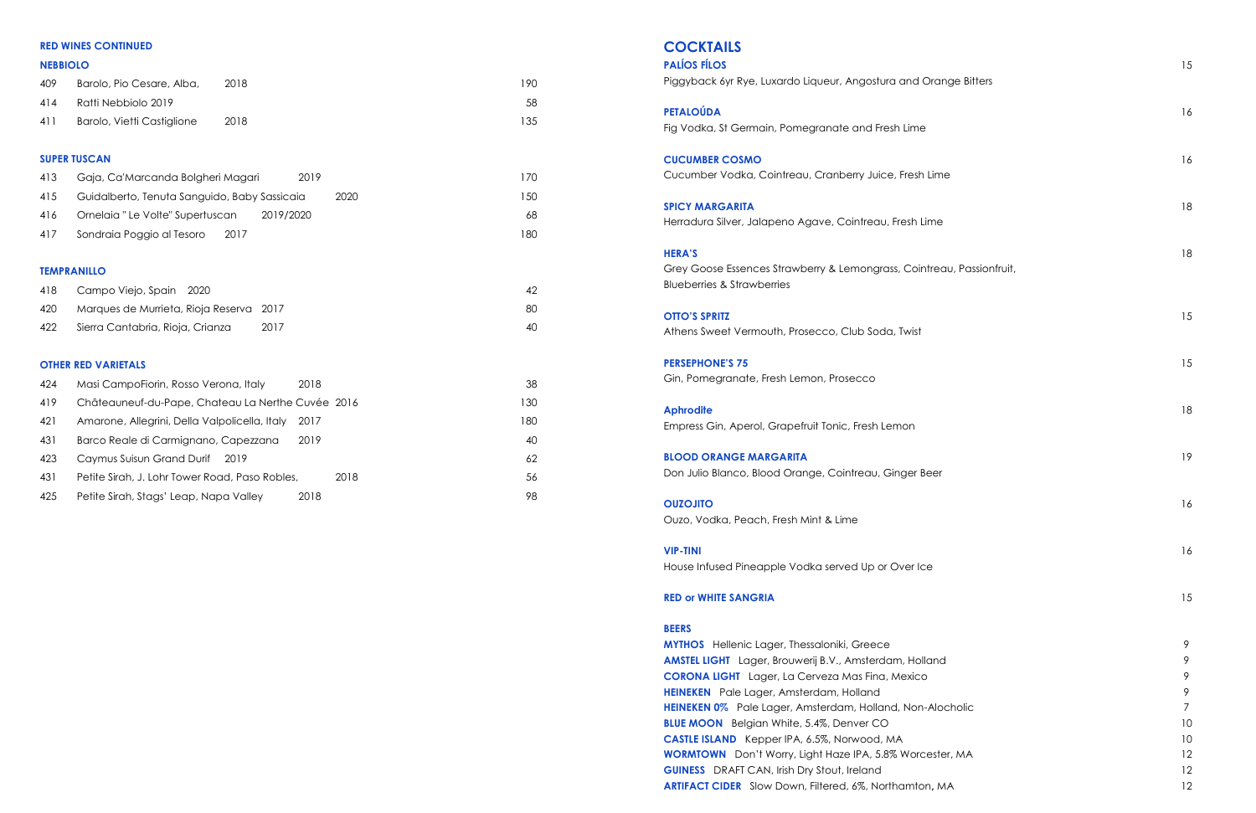# **COCKTAILS**

| <b>PALÍOS FÍLOS</b>                                                   |
|-----------------------------------------------------------------------|
| Piggyback 6yr Rye, Luxardo Liqueur, Angostura and Orange Bitters      |
| <b>PETALOÚDA</b>                                                      |
| Fig Vodka, St Germain, Pomegranate and Fresh Lime                     |
| <b>CUCUMBER COSMO</b>                                                 |
| Cucumber Vodka, Cointreau, Cranberry Juice, Fresh Lime                |
| <b>SPICY MARGARITA</b>                                                |
| Herradura Silver, Jalapeno Agave, Cointreau, Fresh Lime               |
| <b>HERA'S</b>                                                         |
| Grey Goose Essences Strawberry & Lemongrass, Cointreau, Passionfruit, |
| <b>Blueberries &amp; Strawberries</b>                                 |
| <b>OTTO'S SPRITZ</b>                                                  |
| Athens Sweet Vermouth, Prosecco, Club Soda, Twist                     |
| <b>PERSEPHONE'S 75</b>                                                |
| Gin, Pomegranate, Fresh Lemon, Prosecco                               |
| <b>Aphrodite</b>                                                      |
| Empress Gin, Aperol, Grapefruit Tonic, Fresh Lemon                    |
| <b>BLOOD ORANGE MARGARITA</b>                                         |
| Don Julio Blanco, Blood Orange, Cointreau, Ginger Beer                |
|                                                                       |

| <b>PALÍOS FÍLOS</b><br>Piggyback 6yr Rye, Luxardo Liqueur, Angostura and Orange Bitters                                                                                                                                                                                                                                                                                                                                                                                                                                   | 15                                            |
|---------------------------------------------------------------------------------------------------------------------------------------------------------------------------------------------------------------------------------------------------------------------------------------------------------------------------------------------------------------------------------------------------------------------------------------------------------------------------------------------------------------------------|-----------------------------------------------|
| PETALOÚDA<br>Fig Vodka, St Germain, Pomegranate and Fresh Lime                                                                                                                                                                                                                                                                                                                                                                                                                                                            | 16                                            |
| <b>CUCUMBER COSMO</b><br>Cucumber Vodka, Cointreau, Cranberry Juice, Fresh Lime                                                                                                                                                                                                                                                                                                                                                                                                                                           | 16                                            |
| <b>SPICY MARGARITA</b><br>Herradura Silver, Jalapeno Agave, Cointreau, Fresh Lime                                                                                                                                                                                                                                                                                                                                                                                                                                         | 18                                            |
| <b>HERA'S</b><br>Grey Goose Essences Strawberry & Lemongrass, Cointreau, Passionfruit,<br><b>Blueberries &amp; Strawberries</b>                                                                                                                                                                                                                                                                                                                                                                                           | 18                                            |
| <b>OTTO'S SPRITZ</b><br>Athens Sweet Vermouth, Prosecco, Club Soda, Twist                                                                                                                                                                                                                                                                                                                                                                                                                                                 | 15                                            |
| <b>PERSEPHONE'S 75</b><br>Gin, Pomegranate, Fresh Lemon, Prosecco                                                                                                                                                                                                                                                                                                                                                                                                                                                         | 15                                            |
| <b>Aphrodite</b><br>Empress Gin, Aperol, Grapefruit Tonic, Fresh Lemon                                                                                                                                                                                                                                                                                                                                                                                                                                                    | 18                                            |
| <b>BLOOD ORANGE MARGARITA</b><br>Don Julio Blanco, Blood Orange, Cointreau, Ginger Beer                                                                                                                                                                                                                                                                                                                                                                                                                                   | 19                                            |
| <b>OUZOJITO</b><br>Ouzo, Vodka, Peach, Fresh Mint & Lime                                                                                                                                                                                                                                                                                                                                                                                                                                                                  | 16                                            |
| <b>VIP-TINI</b><br>House Infused Pineapple Vodka served Up or Over Ice                                                                                                                                                                                                                                                                                                                                                                                                                                                    | 16                                            |
| <b>RED or WHITE SANGRIA</b>                                                                                                                                                                                                                                                                                                                                                                                                                                                                                               | 15                                            |
| <b>BEERS</b><br><b>MYTHOS</b> Hellenic Lager, Thessaloniki, Greece<br>AMSTEL LIGHT Lager, Brouwerij B.V., Amsterdam, Holland<br><b>CORONA LIGHT</b> Lager, La Cerveza Mas Fina, Mexico<br>HEINEKEN Pale Lager, Amsterdam, Holland<br>HEINEKEN 0% Pale Lager, Amsterdam, Holland, Non-Alocholic<br><b>BLUE MOON</b> Belgian White, 5.4%, Denver CO<br>CASTLE ISLAND Kepper IPA, 6.5%, Norwood, MA<br><b>WORMTOWN</b> Don't Worry, Light Haze IPA, 5.8% Worcester, MA<br><b>GUINESS</b> DRAFT CAN, Irish Dry Stout, Ireland | 9<br>9<br>9<br>9<br>7<br>10<br>10<br>12<br>12 |
| ARTIFACT CIDER Slow Down, Filtered, 6%, Northamton, MA                                                                                                                                                                                                                                                                                                                                                                                                                                                                    | 12                                            |

### **BEERS**

### **RED WINES CONTINUED**

### **NEBBIOLO**

| 409 | Barolo, Pio Cesare, Alba,  | 2018 | 190 |
|-----|----------------------------|------|-----|
| 414 | Ratti Nebbiolo 2019        |      | 58  |
| 411 | Barolo, Vietti Castiglione | 2018 | 135 |

### **SUPER TUSCAN**

| 413 | Gaja, Ca'Marcanda Bolgheri Magari            | 2019      | 170  |
|-----|----------------------------------------------|-----------|------|
| 415 | Guidalberto, Tenuta Sanguido, Baby Sassicaia | 2020      | l 50 |
| 416 | Ornelaia "Le Volte" Supertuscan              | 2019/2020 | 68   |
| 417 | Sondraia Poggio al Tesoro<br>- 2017          |           | 180  |
|     |                                              |           |      |

### **TEMPRANILLO**

| 418  | Campo Viejo, Spain 2020                 |      | 42 |
|------|-----------------------------------------|------|----|
| 420  | Marques de Murrieta, Rioja Reserva 2017 |      | 80 |
| -422 | Sierra Cantabria, Rioja, Crianza        | 2017 | 40 |

### **OTHER RED VARIETALS**

| 424 | Masi CampoFiorin, Rosso Verona, Italy             | 2018 |      | 38  |
|-----|---------------------------------------------------|------|------|-----|
| 419 | Châteauneuf-du-Pape, Chateau La Nerthe Cuvée 2016 |      |      | 130 |
| 421 | Amarone, Allegrini, Della Valpolicella, Italy     | 2017 |      | 180 |
| 431 | Barco Reale di Carmignano, Capezzana              | 2019 |      | 40  |
| 423 | Caymus Suisun Grand Durif<br>2019                 |      |      | 62  |
| 431 | Petite Sirah, J. Lohr Tower Road, Paso Robles,    |      | 2018 | 56  |
| 425 | Petite Sirah, Stags' Leap, Napa Valley            | 2018 |      | 98  |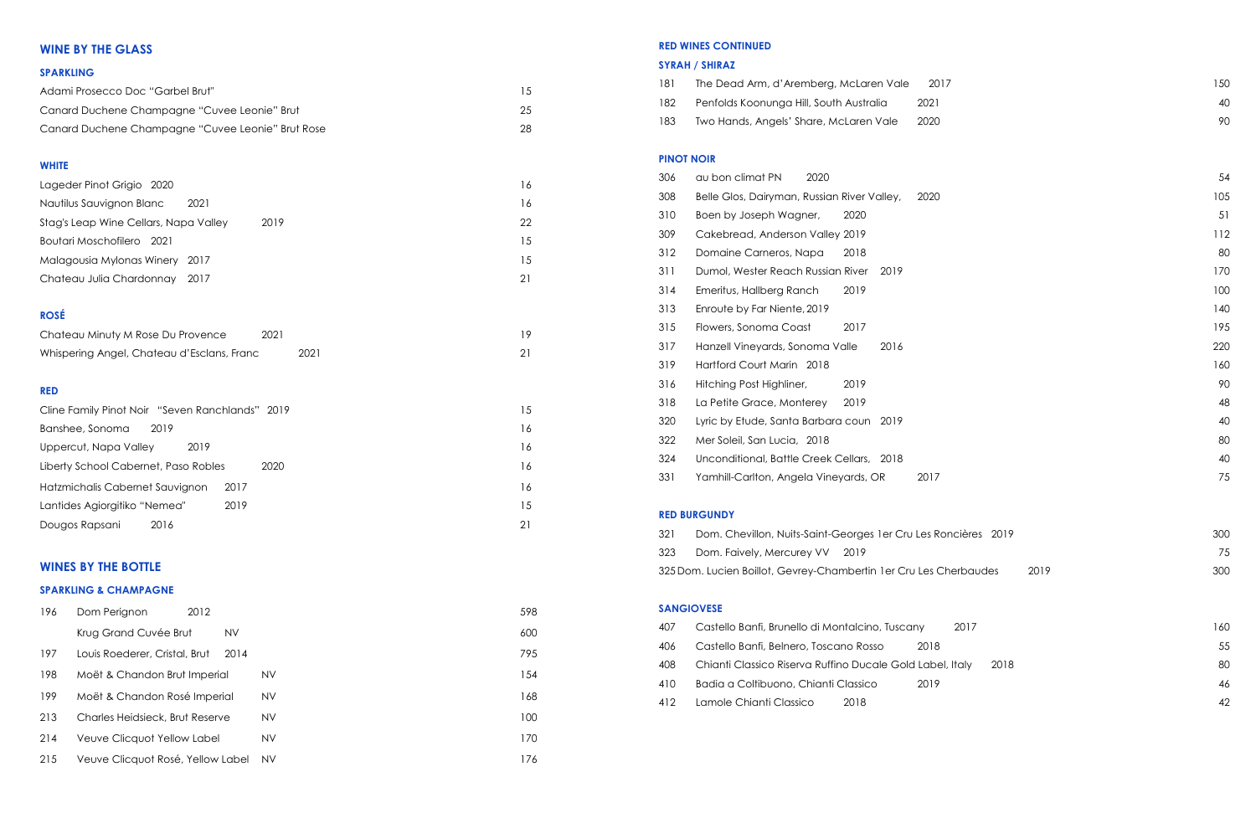### **RED WINES CONTINUED**

# **SYRAH / SHIRAZ**

| 181 | The Dead Arm, d'Aremberg, McLaren Vale                            | 2017 | 150 |
|-----|-------------------------------------------------------------------|------|-----|
| 182 | Penfolds Koonunga Hill, South Australia                           | 2021 | 40  |
| 183 | Two Hands, Angels' Share, McLaren Vale                            | 2020 | 90  |
|     |                                                                   |      |     |
|     | <b>PINOT NOIR</b>                                                 |      |     |
| 306 | 2020<br>au bon climat PN                                          |      | 54  |
| 308 | Belle Glos, Dairyman, Russian River Valley,                       | 2020 | 105 |
| 310 | Boen by Joseph Wagner,<br>2020                                    |      | 51  |
| 309 | Cakebread, Anderson Valley 2019                                   |      | 112 |
| 312 | 2018<br>Domaine Carneros, Napa                                    |      | 80  |
| 311 | Dumol, Wester Reach Russian River<br>2019                         |      | 170 |
| 314 | 2019<br>Emeritus, Hallberg Ranch                                  |      | 100 |
| 313 | Enroute by Far Niente, 2019                                       |      | 140 |
| 315 | Flowers, Sonoma Coast<br>2017                                     |      | 195 |
| 317 | Hanzell Vineyards, Sonoma Valle<br>2016                           |      | 220 |
| 319 | Hartford Court Marin 2018                                         |      | 160 |
| 316 | Hitching Post Highliner,<br>2019                                  |      | 90  |
| 318 | La Petite Grace, Monterey<br>2019                                 |      | 48  |
| 320 | Lyric by Etude, Santa Barbara coun 2019                           |      | 40  |
| 322 | Mer Soleil, San Lucia, 2018                                       |      | 80  |
| 324 | Unconditional, Battle Creek Cellars, 2018                         |      | 40  |
| 331 | Yamhill-Carlton, Angela Vineyards, OR                             | 2017 | 75  |
|     |                                                                   |      |     |
|     | <b>RED BURGUNDY</b>                                               |      |     |
| 321 | Dom. Chevillon, Nuits-Saint-Georges 1 er Cru Les Roncières 2019   |      | 300 |
| 323 | Dom. Faively, Mercurey VV<br>2019                                 |      | 75  |
|     | 325 Dom. Lucien Boillot, Gevrey-Chambertin 1er Cru Les Cherbaudes | 2019 | 300 |
|     |                                                                   |      |     |
|     | <b>SANGIOVESE</b>                                                 |      |     |
| 407 | Castello Banfi, Brunello di Montalcino, Tuscany                   | 2017 | 160 |
| 406 | Castello Banfi, Belnero, Toscano Rosso                            | 2018 | 55  |
| 408 | Chianti Classico Riserva Ruffino Ducale Gold Label, Italy         | 2018 | 80  |
| 410 | Badia a Coltibuono, Chianti Classico                              | 2019 | 46  |
| 412 | Lamole Chianti Classico<br>2018                                   |      | 42  |

| 181 | The Dead Arm, d'Aremberg, McLaren Vale                            | 2017 | 150 |
|-----|-------------------------------------------------------------------|------|-----|
| 182 | Penfolds Koonunga Hill, South Australia                           | 2021 | 40  |
| 183 | Two Hands, Angels' Share, McLaren Vale                            | 2020 | 90  |
|     | <b>PINOT NOIR</b>                                                 |      |     |
| 306 | 2020<br>au bon climat PN                                          |      | 54  |
| 308 | Belle Glos, Dairyman, Russian River Valley,                       | 2020 | 105 |
| 310 | Boen by Joseph Wagner,<br>2020                                    |      | 51  |
| 309 | Cakebread, Anderson Valley 2019                                   |      | 112 |
| 312 | Domaine Carneros, Napa<br>2018                                    |      | 80  |
| 311 | Dumol, Wester Reach Russian River<br>2019                         |      | 170 |
| 314 | 2019<br>Emeritus, Hallberg Ranch                                  |      | 100 |
| 313 | Enroute by Far Niente, 2019                                       |      | 140 |
| 315 | Flowers, Sonoma Coast<br>2017                                     |      | 195 |
| 317 | Hanzell Vineyards, Sonoma Valle<br>2016                           |      | 220 |
| 319 | Hartford Court Marin 2018                                         |      | 160 |
| 316 | Hitching Post Highliner,<br>2019                                  |      | 90  |
| 318 | La Petite Grace, Monterey<br>2019                                 |      | 48  |
| 320 | Lyric by Etude, Santa Barbara coun 2019                           |      | 40  |
| 322 | Mer Soleil, San Lucia, 2018                                       |      | 80  |
| 324 | Unconditional, Battle Creek Cellars, 2018                         |      | 40  |
| 331 | Yamhill-Carlton, Angela Vineyards, OR                             | 2017 | 75  |
|     | <b>RED BURGUNDY</b>                                               |      |     |
| 321 | Dom. Chevillon, Nuits-Saint-Georges 1 er Cru Les Roncières 2019   |      | 300 |
| 323 | Dom. Faively, Mercurey VV<br>2019                                 |      | 75  |
|     | 325 Dom. Lucien Boillot, Gevrey-Chambertin 1er Cru Les Cherbaudes | 2019 | 300 |
|     | <b>SANGIOVESE</b>                                                 |      |     |
| 407 | Castello Banfi, Brunello di Montalcino, Tuscany                   | 2017 | 160 |
| 406 | Castello Banfi, Belnero, Toscano Rosso                            | 2018 | 55  |
| 408 | Chianti Classico Riserva Ruffino Ducale Gold Label, Italy         | 2018 | 80  |
| 410 | Badia a Coltibuono, Chianti Classico                              | 2019 | 46  |
| 412 | Lamole Chianti Classico<br>2018                                   |      | 42  |

| 181               | The Dead Arm, d'Aremberg, McLaren Vale                            | 2017 | 150 |
|-------------------|-------------------------------------------------------------------|------|-----|
| 182               | Penfolds Koonunga Hill, South Australia                           | 2021 | 40  |
| 183               | Two Hands, Angels' Share, McLaren Vale                            | 2020 | 90  |
|                   |                                                                   |      |     |
| <b>PINOT NOIR</b> |                                                                   |      |     |
| 306               | 2020<br>au bon climat PN                                          |      | 54  |
| 308               | Belle Glos, Dairyman, Russian River Valley,                       | 2020 | 105 |
| 310               | Boen by Joseph Wagner,<br>2020                                    |      | 51  |
| 309               | Cakebread, Anderson Valley 2019                                   |      | 112 |
| 312               | 2018<br>Domaine Carneros, Napa                                    |      | 80  |
| 311               | Dumol, Wester Reach Russian River<br>2019                         |      | 170 |
| 314               | 2019<br>Emeritus, Hallberg Ranch                                  |      | 100 |
| 313               | Enroute by Far Niente, 2019                                       |      | 140 |
| 315               | Flowers, Sonoma Coast<br>2017                                     |      | 195 |
| 317               | Hanzell Vineyards, Sonoma Valle<br>2016                           |      | 220 |
| 319               | Hartford Court Marin 2018                                         |      | 160 |
| 316               | 2019<br>Hitching Post Highliner,                                  |      | 90  |
| 318               | La Petite Grace, Monterey<br>2019                                 |      | 48  |
| 320               | Lyric by Etude, Santa Barbara coun 2019                           |      | 40  |
| 322               | Mer Soleil, San Lucia, 2018                                       |      | 80  |
| 324               | Unconditional, Battle Creek Cellars, 2018                         |      | 40  |
| 331               | Yamhill-Carlton, Angela Vineyards, OR                             | 2017 | 75  |
|                   |                                                                   |      |     |
|                   | <b>RED BURGUNDY</b>                                               |      |     |
| 321               | Dom. Chevillon, Nuits-Saint-Georges 1 er Cru Les Roncières 2019   |      | 300 |
| 323               | Dom. Faively, Mercurey VV<br>2019                                 |      | 75  |
|                   | 325 Dom. Lucien Boillot, Gevrey-Chambertin 1er Cru Les Cherbaudes | 2019 | 300 |
|                   |                                                                   |      |     |
|                   | <b>SANGIOVESE</b>                                                 |      |     |
| 407               | Castello Banfi, Brunello di Montalcino, Tuscany                   | 2017 | 160 |
| 406               | Castello Banfi, Belnero, Toscano Rosso                            | 2018 | 55  |
| 408               | Chianti Classico Riserva Ruffino Ducale Gold Label, Italy         | 2018 | 80  |
| 410               | Badia a Coltibuono, Chianti Classico                              | 2019 | 46  |
| 412               | Lamole Chianti Classico<br>2018                                   |      | 42  |

| 181 | The Dead Arm, d'Aremberg, McLaren Vale                            | 2017 | 150 |
|-----|-------------------------------------------------------------------|------|-----|
| 182 | Penfolds Koonunga Hill, South Australia                           | 2021 | 40  |
| 183 | Two Hands, Angels' Share, McLaren Vale                            | 2020 | 90  |
|     | <b>PINOT NOIR</b>                                                 |      |     |
| 306 | 2020<br>au bon climat PN                                          |      | 54  |
| 308 | Belle Glos, Dairyman, Russian River Valley,                       | 2020 | 105 |
| 310 | Boen by Joseph Wagner,<br>2020                                    |      | 51  |
| 309 | Cakebread, Anderson Valley 2019                                   |      | 112 |
| 312 | Domaine Carneros, Napa<br>2018                                    |      | 80  |
| 311 | Dumol, Wester Reach Russian River<br>2019                         |      | 170 |
| 314 | 2019<br>Emeritus, Hallberg Ranch                                  |      | 100 |
| 313 | Enroute by Far Niente, 2019                                       |      | 140 |
| 315 | Flowers, Sonoma Coast<br>2017                                     |      | 195 |
| 317 | Hanzell Vineyards, Sonoma Valle<br>2016                           |      | 220 |
| 319 | Hartford Court Marin 2018                                         |      | 160 |
| 316 | Hitching Post Highliner,<br>2019                                  |      | 90  |
| 318 | La Petite Grace, Monterey<br>2019                                 |      | 48  |
| 320 | Lyric by Etude, Santa Barbara coun 2019                           |      | 40  |
| 322 | Mer Soleil, San Lucia, 2018                                       |      | 80  |
| 324 | Unconditional, Battle Creek Cellars, 2018                         |      | 40  |
| 331 | Yamhill-Carlton, Angela Vineyards, OR                             | 2017 | 75  |
|     | <b>RED BURGUNDY</b>                                               |      |     |
| 321 | Dom. Chevillon, Nuits-Saint-Georges 1 er Cru Les Roncières 2019   |      | 300 |
| 323 | Dom. Faively, Mercurey VV<br>2019                                 |      | 75  |
|     | 325 Dom. Lucien Boillot, Gevrey-Chambertin 1er Cru Les Cherbaudes | 2019 | 300 |
|     | <b>SANGIOVESE</b>                                                 |      |     |
| 407 | Castello Banfi, Brunello di Montalcino, Tuscany                   | 2017 | 160 |
| 406 | Castello Banfi, Belnero, Toscano Rosso                            | 2018 | 55  |
| 408 | Chianti Classico Riserva Ruffino Ducale Gold Label, Italy         | 2018 | 80  |
| 410 | Badia a Coltibuono, Chianti Classico                              | 2019 | 46  |
| 412 | Lamole Chianti Classico<br>2018                                   |      | 42  |

# **WINE BY THE GLASS**

### **SPARKLING**

| Adami Prosecco Doc "Garbel Brut"                  |     |
|---------------------------------------------------|-----|
| Canard Duchene Champagne "Cuvee Leonie" Brut      | -25 |
| Canard Duchene Champagne "Cuvee Leonie" Brut Rose | 28  |

### **WHITE**

| Lageder Pinot Grigio 2020                     | 16 |
|-----------------------------------------------|----|
| Nautilus Sauvignon Blanc<br>2021              | 16 |
| 2019<br>Stag's Leap Wine Cellars, Napa Valley | 22 |
| Boutari Moschofilero<br>-2021                 | 15 |
| Malagousia Mylonas Winery 2017                | 15 |
| Chateau Julia Chardonnay 2017                 | 21 |

## **ROSÉ**

| Chateau Minuty M Rose Du Provence          | 2021 |      |  |
|--------------------------------------------|------|------|--|
| Whispering Angel, Chateau d'Esclans, Franc |      | 2021 |  |

### **RED**

| Cline Family Pinot Noir "Seven Ranchlands" 2019 |      | 15  |
|-------------------------------------------------|------|-----|
| Banshee, Sonoma<br>2019                         |      | 16  |
| Uppercut, Napa Valley<br>2019                   |      | 16  |
| Liberty School Cabernet, Paso Robles            | 2020 | 16  |
| Hatzmichalis Cabernet Sauvignon                 | 2017 | 16  |
| Lantides Agiorgitiko "Nemea"                    | 2019 | 1.5 |
| Dougos Rapsani<br>2016                          |      | 21  |

# **WINES BY THE BOTTLE**

### **SPARKLING & CHAMPAGNE**

| 196 | Dom Perignon                      | 2012      |           | 598 |
|-----|-----------------------------------|-----------|-----------|-----|
|     | Krug Grand Cuvée Brut             | <b>NV</b> |           | 600 |
| 197 | Louis Roederer, Cristal, Brut     | 2014      |           | 795 |
| 198 | Moët & Chandon Brut Imperial      |           | NV        | 154 |
| 199 | Moët & Chandon Rosé Imperial      |           | NV        | 168 |
| 213 | Charles Heidsieck, Brut Reserve   |           | NV        | 100 |
| 214 | Veuve Clicquot Yellow Label       |           | NV        | 170 |
| 215 | Veuve Clicquot Rosé, Yellow Label |           | <b>NV</b> | 176 |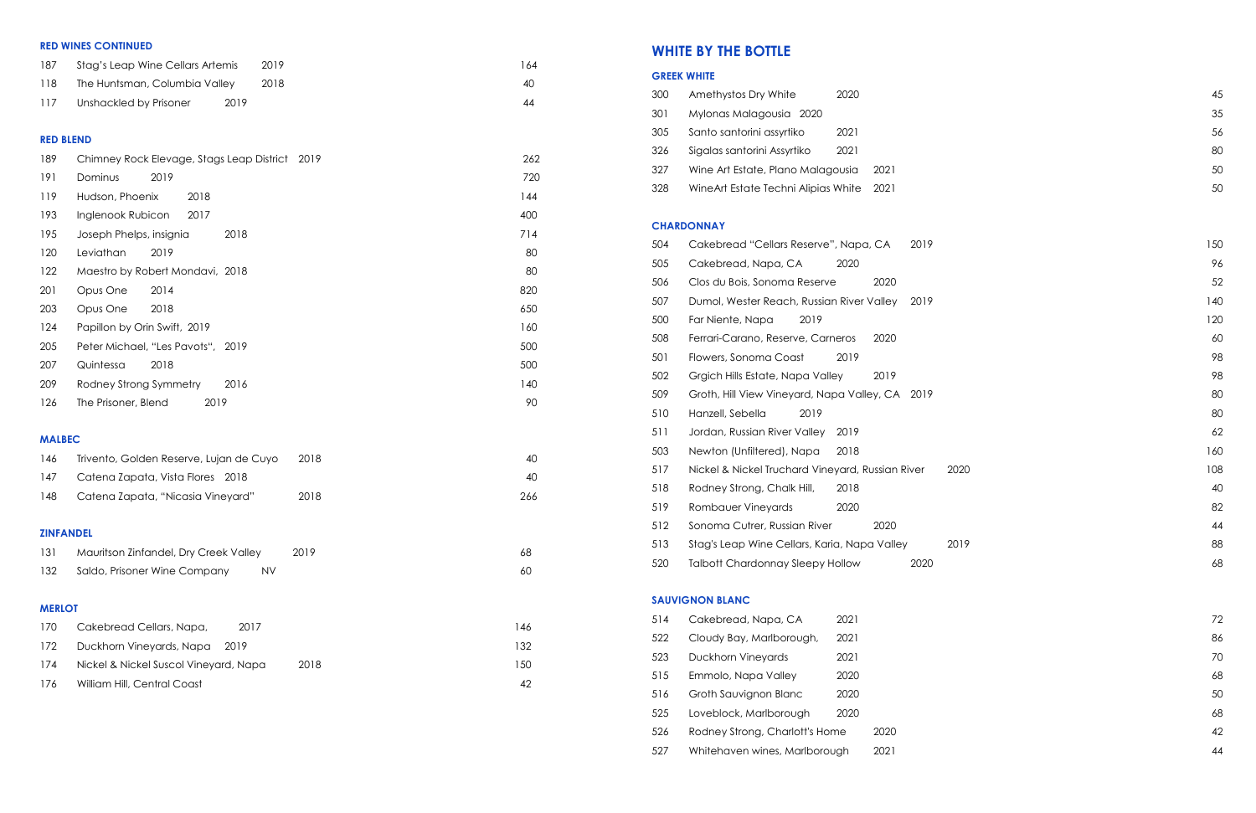### **RED WINES CONTINUED**

| -187 | Stag's Leap Wine Cellars Artemis | 2019 | 164 |
|------|----------------------------------|------|-----|
| 118  | The Huntsman, Columbia Valley    | 2018 | 40  |
| 117  | 2019<br>Unshackled by Prisoner   |      | 44  |

### **RED BLEND**

| 189              | Chimney Rock Elevage, Stags Leap District 2019  | 262 |
|------------------|-------------------------------------------------|-----|
| 191              | Dominus<br>2019                                 | 720 |
| 119              | Hudson, Phoenix<br>2018                         | 144 |
| 193              | Inglenook Rubicon<br>2017                       | 400 |
| 195              | Joseph Phelps, insignia<br>2018                 | 714 |
| 120              | Leviathan<br>2019                               | 80  |
| 122              | Maestro by Robert Mondavi, 2018                 | 80  |
| 201              | Opus One<br>2014                                | 820 |
| 203              | Opus One<br>2018                                | 650 |
| 124              | Papillon by Orin Swift, 2019                    | 160 |
| 205              | Peter Michael, "Les Pavots", 2019               | 500 |
| 207              | Quintessa<br>2018                               | 500 |
| 209              | Rodney Strong Symmetry<br>2016                  | 140 |
| 126              | The Prisoner, Blend<br>2019                     | 90  |
|                  |                                                 |     |
| <b>MALBEC</b>    |                                                 |     |
| 146              | 2018<br>Trivento, Golden Reserve, Lujan de Cuyo | 40  |
| 147              | Catena Zapata, Vista Flores 2018                | 40  |
| 148              | Catena Zapata, "Nicasia Vineyard"<br>2018       | 266 |
|                  |                                                 |     |
| <b>ZINFANDEL</b> |                                                 |     |
| 131              | 2019<br>Mauritson Zinfandel, Dry Creek Valley   | 68  |
| 132              | Saldo, Prisoner Wine Company<br><b>NV</b>       | 60  |
|                  |                                                 |     |

### **MERLOT**

| 170 | Cakebread Cellars, Napa,<br>2017      |      | 46   |
|-----|---------------------------------------|------|------|
| 172 | Duckhorn Vineyards, Napa 2019         |      | 132  |
| 174 | Nickel & Nickel Suscol Vineyard, Napa | 2018 | l 50 |
| 176 | William Hill, Central Coast           |      |      |

# **WHITE BY THE BOTTLE**

|     | <b>GREEK WHITE</b>                               |      |     |
|-----|--------------------------------------------------|------|-----|
| 300 | 2020<br>Amethystos Dry White                     |      | 45  |
| 301 | Mylonas Malagousia 2020                          |      | 35  |
| 305 | Santo santorini assyrtiko<br>2021                |      | 56  |
| 326 | Sigalas santorini Assyrtiko<br>2021              |      | 80  |
| 327 | Wine Art Estate, Plano Malagousia                | 2021 | 50  |
| 328 | WineArt Estate Techni Alipias White              | 2021 | 50  |
|     | <b>CHARDONNAY</b>                                |      |     |
| 504 | Cakebread "Cellars Reserve", Napa, CA            | 2019 | 150 |
| 505 | Cakebread, Napa, CA<br>2020                      |      | 96  |
| 506 | Clos du Bois, Sonoma Reserve                     | 2020 | 52  |
| 507 | Dumol, Wester Reach, Russian River Valley        | 2019 | 140 |
| 500 | Far Niente, Napa<br>2019                         |      | 120 |
| 508 | Ferrari-Carano, Reserve, Carneros                | 2020 | 60  |
| 501 | Flowers, Sonoma Coast<br>2019                    |      | 98  |
| 502 | Grgich Hills Estate, Napa Valley                 | 2019 | 98  |
| 509 | Groth, Hill View Vineyard, Napa Valley, CA 2019  |      | 80  |
| 510 | Hanzell, Sebella<br>2019                         |      | 80  |
| 511 | Jordan, Russian River Valley<br>2019             |      | 62  |
| 503 | Newton (Unfiltered), Napa<br>2018                |      | 160 |
| 517 | Nickel & Nickel Truchard Vineyard, Russian River | 2020 | 108 |
| 518 | Rodney Strong, Chalk Hill,<br>2018               |      | 40  |
| 519 | Rombauer Vineyards<br>2020                       |      | 82  |
| 512 | Sonoma Cutrer, Russian River                     | 2020 | 44  |
| 513 | Stag's Leap Wine Cellars, Karia, Napa Valley     | 2019 | 88  |
| 520 | <b>Talbott Chardonnay Sleepy Hollow</b>          | 2020 | 68  |
|     | <b>SAUVIGNON BLANC</b>                           |      |     |
| 514 | Cakebread, Napa, CA<br>2021                      |      | 72  |
| 522 | 2021<br>Cloudy Bay, Marlborough,                 |      | 86  |
| 523 | Duckhorn Vineyards<br>2021                       |      | 70  |
| 515 | Emmolo, Napa Valley<br>2020                      |      | 68  |
| 516 | Groth Sauvignon Blanc<br>2020                    |      | 50  |
| 525 | Loveblock, Marlborough<br>2020                   |      | 68  |
| 526 | Rodney Strong, Charlott's Home                   | 2020 | 42  |
| 527 | Whitehaven wines, Marlborough                    | 2021 | 44  |

| 3 I 4 | Cakepieda, Napa, CA            | ZUZ I |      |
|-------|--------------------------------|-------|------|
| 522   | Cloudy Bay, Marlborough,       | 2021  |      |
| 523   | <b>Duckhorn Vineyards</b>      | 2021  |      |
| 515   | Emmolo, Napa Valley            | 2020  |      |
| 516   | Groth Sauvignon Blanc          | 2020  |      |
| 525   | Loveblock, Marlborough         | 2020  |      |
| 526   | Rodney Strong, Charlott's Home |       | 2020 |
| 527   | Whitehaven wines, Marlborough  |       | 2021 |